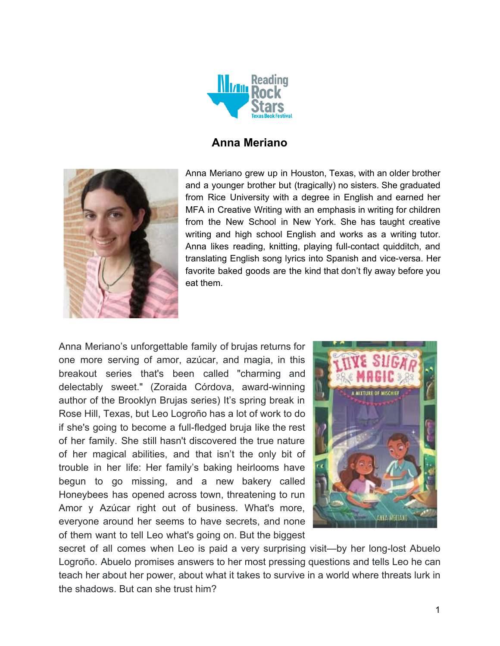

# **Anna Meriano**



Anna Meriano grew up in Houston, Texas, with an older brother and a younger brother but (tragically) no sisters. She graduated from Rice University with a degree in English and earned her MFA in Creative Writing with an emphasis in writing for children from the New School in New York. She has taught creative writing and high school English and works as a writing tutor. Anna likes reading, knitting, playing full-contact quidditch, and translating English song lyrics into Spanish and vice-versa. Her favorite baked goods are the kind that don't fly away before you eat them.

Anna Meriano's unforgettable family of brujas returns for one more serving of amor, azúcar, and magia, in this breakout series that's been called "charming and delectably sweet." (Zoraida Córdova, award-winning author of the Brooklyn Brujas series) It's spring break in Rose Hill, Texas, but Leo Logroño has a lot of work to do if she's going to become a full-fledged bruja like the rest of her family. She still hasn't discovered the true nature of her magical abilities, and that isn't the only bit of trouble in her life: Her family's baking heirlooms have begun to go missing, and a new bakery called Honeybees has opened across town, threatening to run Amor y Azúcar right out of business. What's more, everyone around her seems to have secrets, and none of them want to tell Leo what's going on. But the biggest



secret of all comes when Leo is paid a very surprising visit—by her long-lost Abuelo Logroño. Abuelo promises answers to her most pressing questions and tells Leo he can teach her about her power, about what it takes to survive in a world where threats lurk in the shadows. But can she trust him?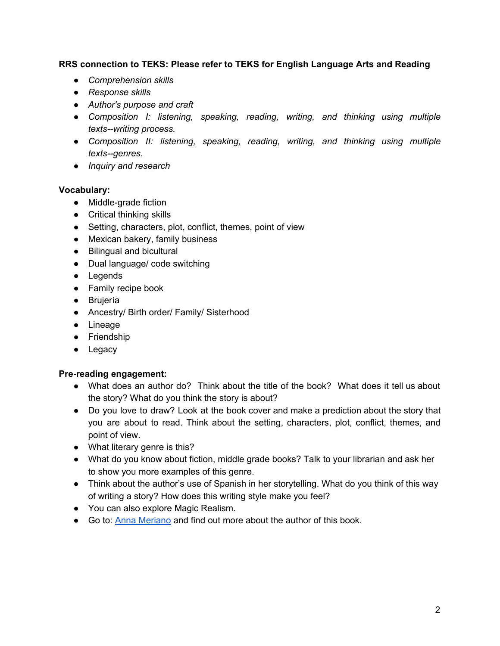#### **RRS connection to TEKS: Please refer to TEKS for English Language Arts and Reading**

- *● Comprehension skills*
- *● Response skills*
- *● Author's purpose and craft*
- *● Composition I: listening, speaking, reading, writing, and thinking using multiple texts--writing process.*
- *● Composition II: listening, speaking, reading, writing, and thinking using multiple texts--genres.*
- *● Inquiry and research*

#### **Vocabulary:**

- Middle-grade fiction
- Critical thinking skills
- Setting, characters, plot, conflict, themes, point of view
- Mexican bakery, family business
- Bilingual and bicultural
- Dual language/ code switching
- Legends
- Family recipe book
- Brujería
- Ancestry/ Birth order/ Family/ Sisterhood
- Lineage
- Friendship
- Legacy

#### **Pre-reading engagement:**

- What does an author do? Think about the title of the book? What does it tell us about the story? What do you think the story is about?
- Do you love to draw? Look at the book cover and make a prediction about the story that you are about to read. Think about the setting, characters, plot, conflict, themes, and point of view.
- What literary genre is this?
- What do you know about fiction, middle grade books? Talk to your librarian and ask her to show you more examples of this genre.
- Think about the author's use of Spanish in her storytelling. What do you think of this way of writing a story? How does this writing style make you feel?
- You can also explore Magic Realism.
- Go to: Anna [Meriano](https://www.annameriano.com/) and find out more about the author of this book.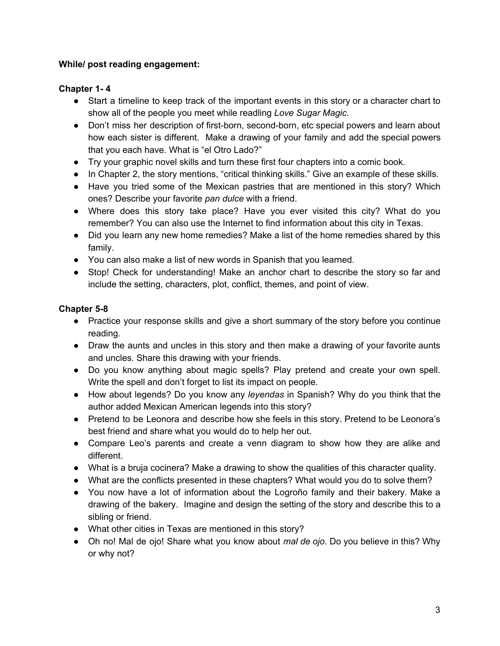### **While/ post reading engagement:**

# **Chapter 1- 4**

- Start a timeline to keep track of the important events in this story or a character chart to show all of the people you meet while readling *Love Sugar Magic.*
- Don't miss her description of first-born, second-born, etc special powers and learn about how each sister is different. Make a drawing of your family and add the special powers that you each have. What is "el Otro Lado?"
- Try your graphic novel skills and turn these first four chapters into a comic book.
- In Chapter 2, the story mentions, "critical thinking skills." Give an example of these skills.
- Have you tried some of the Mexican pastries that are mentioned in this story? Which ones? Describe your favorite *pan dulce* with a friend.
- Where does this story take place? Have you ever visited this city? What do you remember? You can also use the Internet to find information about this city in Texas.
- Did you learn any new home remedies? Make a list of the home remedies shared by this family.
- You can also make a list of new words in Spanish that you learned.
- Stop! Check for understanding! Make an anchor chart to describe the story so far and include the setting, characters, plot, conflict, themes, and point of view.

# **Chapter 5-8**

- Practice your response skills and give a short summary of the story before you continue reading.
- Draw the aunts and uncles in this story and then make a drawing of your favorite aunts and uncles. Share this drawing with your friends.
- Do you know anything about magic spells? Play pretend and create your own spell. Write the spell and don't forget to list its impact on people.
- How about legends? Do you know any *leyendas* in Spanish? Why do you think that the author added Mexican American legends into this story?
- Pretend to be Leonora and describe how she feels in this story. Pretend to be Leonora's best friend and share what you would do to help her out.
- Compare Leo's parents and create a venn diagram to show how they are alike and different.
- What is a bruja cocinera? Make a drawing to show the qualities of this character quality.
- What are the conflicts presented in these chapters? What would you do to solve them?
- You now have a lot of information about the Logroño family and their bakery. Make a drawing of the bakery. Imagine and design the setting of the story and describe this to a sibling or friend.
- What other cities in Texas are mentioned in this story?
- Oh no! Mal de ojo! Share what you know about *mal de ojo*. Do you believe in this? Why or why not?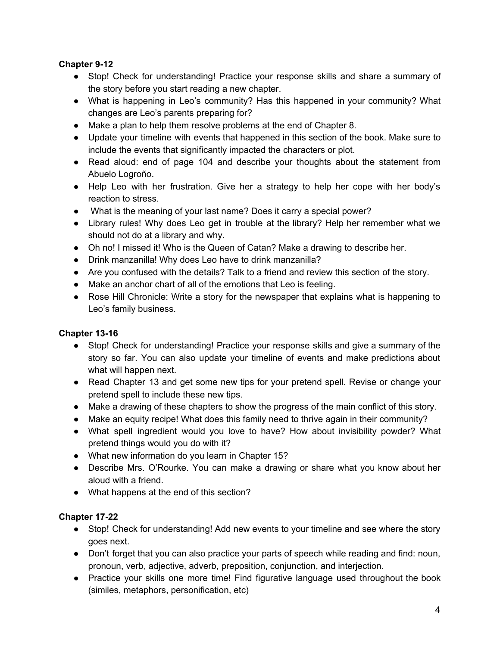# **Chapter 9-12**

- Stop! Check for understanding! Practice your response skills and share a summary of the story before you start reading a new chapter.
- What is happening in Leo's community? Has this happened in your community? What changes are Leo's parents preparing for?
- Make a plan to help them resolve problems at the end of Chapter 8.
- Update your timeline with events that happened in this section of the book. Make sure to include the events that significantly impacted the characters or plot.
- Read aloud: end of page 104 and describe your thoughts about the statement from Abuelo Logroño.
- Help Leo with her frustration. Give her a strategy to help her cope with her body's reaction to stress.
- What is the meaning of your last name? Does it carry a special power?
- Library rules! Why does Leo get in trouble at the library? Help her remember what we should not do at a library and why.
- Oh no! I missed it! Who is the Queen of Catan? Make a drawing to describe her.
- Drink manzanilla! Why does Leo have to drink manzanilla?
- Are you confused with the details? Talk to a friend and review this section of the story.
- Make an anchor chart of all of the emotions that Leo is feeling.
- Rose Hill Chronicle: Write a story for the newspaper that explains what is happening to Leo's family business.

# **Chapter 13-16**

- Stop! Check for understanding! Practice your response skills and give a summary of the story so far. You can also update your timeline of events and make predictions about what will happen next.
- Read Chapter 13 and get some new tips for your pretend spell. Revise or change your pretend spell to include these new tips.
- Make a drawing of these chapters to show the progress of the main conflict of this story.
- Make an equity recipe! What does this family need to thrive again in their community?
- What spell ingredient would you love to have? How about invisibility powder? What pretend things would you do with it?
- What new information do you learn in Chapter 15?
- Describe Mrs. O'Rourke. You can make a drawing or share what you know about her aloud with a friend.
- What happens at the end of this section?

# **Chapter 17-22**

- Stop! Check for understanding! Add new events to your timeline and see where the story goes next.
- Don't forget that you can also practice your parts of speech while reading and find: noun, pronoun, verb, adjective, adverb, preposition, conjunction, and interjection.
- Practice your skills one more time! Find figurative language used throughout the book (similes, metaphors, personification, etc)